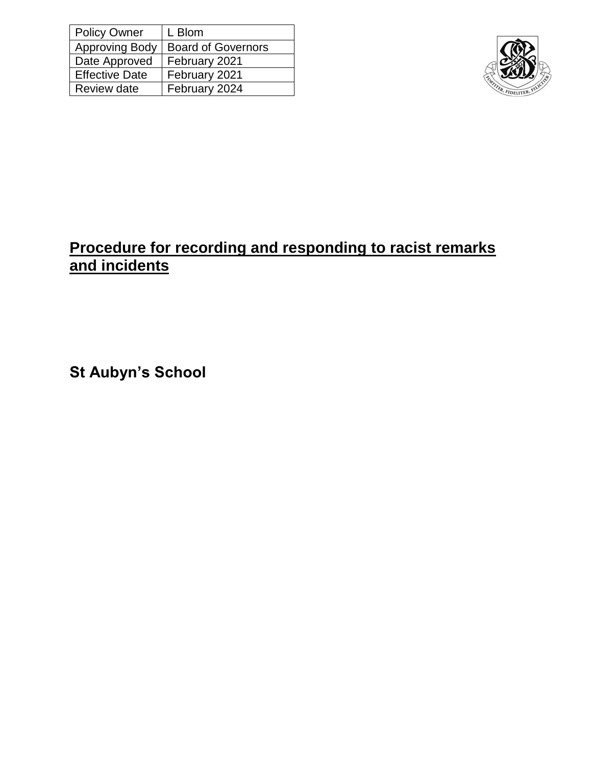| <b>Policy Owner</b>   | L Blom                    |
|-----------------------|---------------------------|
| <b>Approving Body</b> | <b>Board of Governors</b> |
| Date Approved         | February 2021             |
| <b>Effective Date</b> | February 2021             |
| Review date           | February 2024             |



## **Procedure for recording and responding to racist remarks and incidents**

**St Aubyn's School**